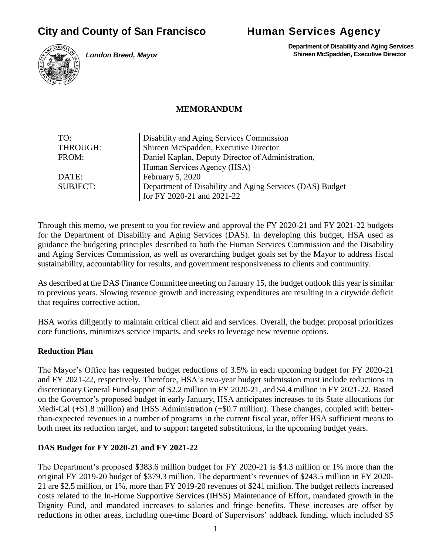# **City and County of San Francisco Human Services Agency**

*London Breed, Mayor*

 **Department of Disability and Aging Services Shireen McSpadden, Executive Director**

#### **MEMORANDUM**

| TO:             | Disability and Aging Services Commission                 |
|-----------------|----------------------------------------------------------|
| THROUGH:        | Shireen McSpadden, Executive Director                    |
| FROM:           | Daniel Kaplan, Deputy Director of Administration,        |
|                 | Human Services Agency (HSA)                              |
| DATE:           | February 5, 2020                                         |
| <b>SUBJECT:</b> | Department of Disability and Aging Services (DAS) Budget |
|                 | for FY 2020-21 and 2021-22                               |

Through this memo, we present to you for review and approval the FY 2020-21 and FY 2021-22 budgets for the Department of Disability and Aging Services (DAS). In developing this budget, HSA used as guidance the budgeting principles described to both the Human Services Commission and the Disability and Aging Services Commission, as well as overarching budget goals set by the Mayor to address fiscal sustainability, accountability for results, and government responsiveness to clients and community.

As described at the DAS Finance Committee meeting on January 15, the budget outlook this year is similar to previous years. Slowing revenue growth and increasing expenditures are resulting in a citywide deficit that requires corrective action.

HSA works diligently to maintain critical client aid and services. Overall, the budget proposal prioritizes core functions, minimizes service impacts, and seeks to leverage new revenue options.

# **Reduction Plan**

The Mayor's Office has requested budget reductions of 3.5% in each upcoming budget for FY 2020-21 and FY 2021-22, respectively. Therefore, HSA's two-year budget submission must include reductions in discretionary General Fund support of \$2.2 million in FY 2020-21, and \$4.4 million in FY 2021-22. Based on the Governor's proposed budget in early January, HSA anticipates increases to its State allocations for Medi-Cal (+\$1.8 million) and IHSS Administration (+\$0.7 million). These changes, coupled with betterthan-expected revenues in a number of programs in the current fiscal year, offer HSA sufficient means to both meet its reduction target, and to support targeted substitutions, in the upcoming budget years.

# **DAS Budget for FY 2020-21 and FY 2021-22**

The Department's proposed \$383.6 million budget for FY 2020-21 is \$4.3 million or 1% more than the original FY 2019-20 budget of \$379.3 million. The department's revenues of \$243.5 million in FY 2020- 21 are \$2.5 million, or 1%, more than FY 2019-20 revenues of \$241 million. The budget reflects increased costs related to the In-Home Supportive Services (IHSS) Maintenance of Effort, mandated growth in the Dignity Fund, and mandated increases to salaries and fringe benefits. These increases are offset by reductions in other areas, including one-time Board of Supervisors' addback funding, which included \$5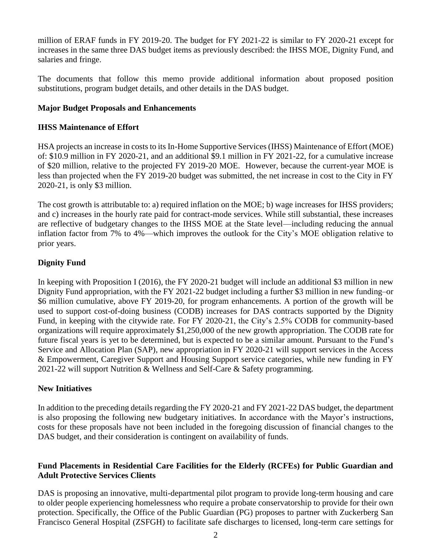million of ERAF funds in FY 2019-20. The budget for FY 2021-22 is similar to FY 2020-21 except for increases in the same three DAS budget items as previously described: the IHSS MOE, Dignity Fund, and salaries and fringe.

The documents that follow this memo provide additional information about proposed position substitutions, program budget details, and other details in the DAS budget.

## **Major Budget Proposals and Enhancements**

## **IHSS Maintenance of Effort**

HSA projects an increase in costs to its In-Home Supportive Services (IHSS) Maintenance of Effort (MOE) of: \$10.9 million in FY 2020-21, and an additional \$9.1 million in FY 2021-22, for a cumulative increase of \$20 million, relative to the projected FY 2019-20 MOE. However, because the current-year MOE is less than projected when the FY 2019-20 budget was submitted, the net increase in cost to the City in FY 2020-21, is only \$3 million.

The cost growth is attributable to: a) required inflation on the MOE; b) wage increases for IHSS providers; and c) increases in the hourly rate paid for contract-mode services. While still substantial, these increases are reflective of budgetary changes to the IHSS MOE at the State level—including reducing the annual inflation factor from 7% to 4%—which improves the outlook for the City's MOE obligation relative to prior years.

# **Dignity Fund**

In keeping with Proposition I (2016), the FY 2020-21 budget will include an additional \$3 million in new Dignity Fund appropriation, with the FY 2021-22 budget including a further \$3 million in new funding–or \$6 million cumulative, above FY 2019-20, for program enhancements. A portion of the growth will be used to support cost-of-doing business (CODB) increases for DAS contracts supported by the Dignity Fund, in keeping with the citywide rate. For FY 2020-21, the City's 2.5% CODB for community-based organizations will require approximately \$1,250,000 of the new growth appropriation. The CODB rate for future fiscal years is yet to be determined, but is expected to be a similar amount. Pursuant to the Fund's Service and Allocation Plan (SAP), new appropriation in FY 2020-21 will support services in the Access & Empowerment, Caregiver Support and Housing Support service categories, while new funding in FY 2021-22 will support Nutrition & Wellness and Self-Care & Safety programming.

# **New Initiatives**

In addition to the preceding details regarding the FY 2020-21 and FY 2021-22 DAS budget, the department is also proposing the following new budgetary initiatives. In accordance with the Mayor's instructions, costs for these proposals have not been included in the foregoing discussion of financial changes to the DAS budget, and their consideration is contingent on availability of funds.

# **Fund Placements in Residential Care Facilities for the Elderly (RCFEs) for Public Guardian and Adult Protective Services Clients**

DAS is proposing an innovative, multi-departmental pilot program to provide long-term housing and care to older people experiencing homelessness who require a probate conservatorship to provide for their own protection. Specifically, the Office of the Public Guardian (PG) proposes to partner with Zuckerberg San Francisco General Hospital (ZSFGH) to facilitate safe discharges to licensed, long-term care settings for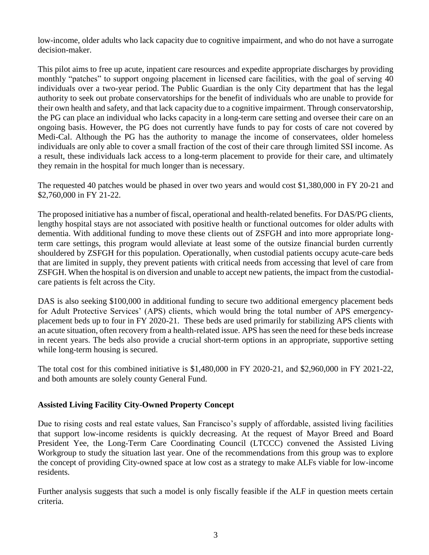low-income, older adults who lack capacity due to cognitive impairment, and who do not have a surrogate decision-maker.

This pilot aims to free up acute, inpatient care resources and expedite appropriate discharges by providing monthly "patches" to support ongoing placement in licensed care facilities, with the goal of serving 40 individuals over a two-year period. The Public Guardian is the only City department that has the legal authority to seek out probate conservatorships for the benefit of individuals who are unable to provide for their own health and safety, and that lack capacity due to a cognitive impairment. Through conservatorship, the PG can place an individual who lacks capacity in a long-term care setting and oversee their care on an ongoing basis. However, the PG does not currently have funds to pay for costs of care not covered by Medi-Cal. Although the PG has the authority to manage the income of conservatees, older homeless individuals are only able to cover a small fraction of the cost of their care through limited SSI income. As a result, these individuals lack access to a long-term placement to provide for their care, and ultimately they remain in the hospital for much longer than is necessary.

The requested 40 patches would be phased in over two years and would cost \$1,380,000 in FY 20-21 and \$2,760,000 in FY 21-22.

The proposed initiative has a number of fiscal, operational and health-related benefits. For DAS/PG clients, lengthy hospital stays are not associated with positive health or functional outcomes for older adults with dementia. With additional funding to move these clients out of ZSFGH and into more appropriate longterm care settings, this program would alleviate at least some of the outsize financial burden currently shouldered by ZSFGH for this population. Operationally, when custodial patients occupy acute-care beds that are limited in supply, they prevent patients with critical needs from accessing that level of care from ZSFGH. When the hospital is on diversion and unable to accept new patients, the impact from the custodialcare patients is felt across the City.

DAS is also seeking \$100,000 in additional funding to secure two additional emergency placement beds for Adult Protective Services' (APS) clients, which would bring the total number of APS emergencyplacement beds up to four in FY 2020-21. These beds are used primarily for stabilizing APS clients with an acute situation, often recovery from a health-related issue. APS has seen the need for these beds increase in recent years. The beds also provide a crucial short-term options in an appropriate, supportive setting while long-term housing is secured.

The total cost for this combined initiative is \$1,480,000 in FY 2020-21, and \$2,960,000 in FY 2021-22, and both amounts are solely county General Fund.

# **Assisted Living Facility City-Owned Property Concept**

Due to rising costs and real estate values, San Francisco's supply of affordable, assisted living facilities that support low-income residents is quickly decreasing. At the request of Mayor Breed and Board President Yee, the Long-Term Care Coordinating Council (LTCCC) convened the Assisted Living Workgroup to study the situation last year. One of the recommendations from this group was to explore the concept of providing City-owned space at low cost as a strategy to make ALFs viable for low-income residents.

Further analysis suggests that such a model is only fiscally feasible if the ALF in question meets certain criteria.